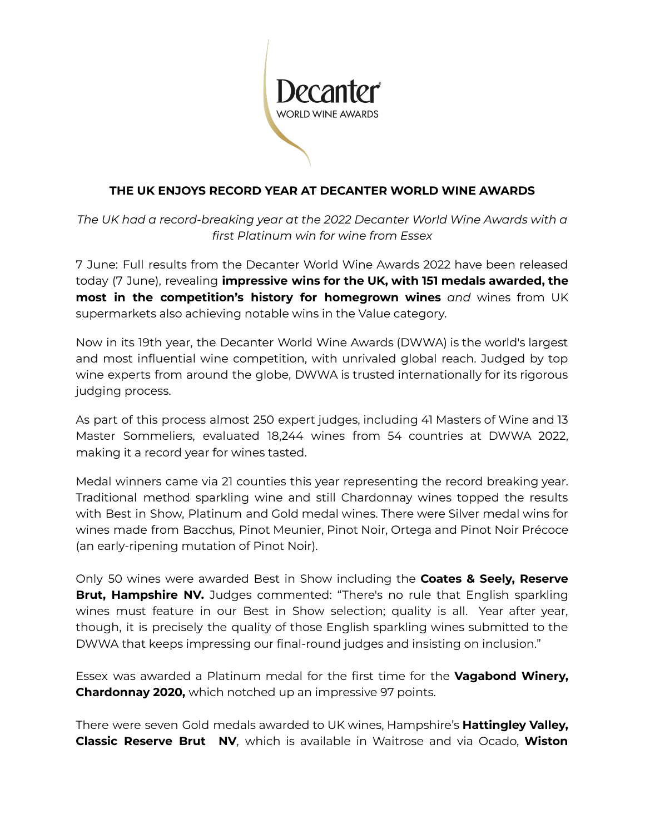

## **THE UK ENJOYS RECORD YEAR AT DECANTER WORLD WINE AWARDS**

*The UK had a record-breaking year at the 2022 Decanter World Wine Awards with a first Platinum win for wine from Essex*

7 June: Full results from the Decanter World Wine Awards 2022 have been released today (7 June), revealing **impressive wins for the UK, with 151 medals awarded, the most in the competition's history for homegrown wines** *and* wines from UK supermarkets also achieving notable wins in the Value category.

Now in its 19th year, the Decanter World Wine Awards (DWWA) is the world's largest and most influential wine competition, with unrivaled global reach. Judged by top wine experts from around the globe, DWWA is trusted internationally for its rigorous judging process.

As part of this process almost 250 expert judges, including 41 Masters of Wine and 13 Master Sommeliers, evaluated 18,244 wines from 54 countries at DWWA 2022, making it a record year for wines tasted.

Medal winners came via 21 counties this year representing the record breaking year. Traditional method sparkling wine and still Chardonnay wines topped the results with Best in Show, Platinum and Gold medal wines. There were Silver medal wins for wines made from Bacchus, Pinot Meunier, Pinot Noir, Ortega and Pinot Noir Précoce (an early-ripening mutation of Pinot Noir).

Only 50 wines were awarded Best in Show including the **Coates & Seely, Reserve Brut, Hampshire NV.** Judges commented: "There's no rule that English sparkling wines must feature in our Best in Show selection; quality is all. Year after year, though, it is precisely the quality of those English sparkling wines submitted to the DWWA that keeps impressing our final-round judges and insisting on inclusion."

Essex was awarded a Platinum medal for the first time for the **Vagabond Winery, Chardonnay 2020,** which notched up an impressive 97 points.

There were seven Gold medals awarded to UK wines, Hampshire's **Hattingley Valley, Classic Reserve Brut NV**, which is available in Waitrose and via Ocado, **Wiston**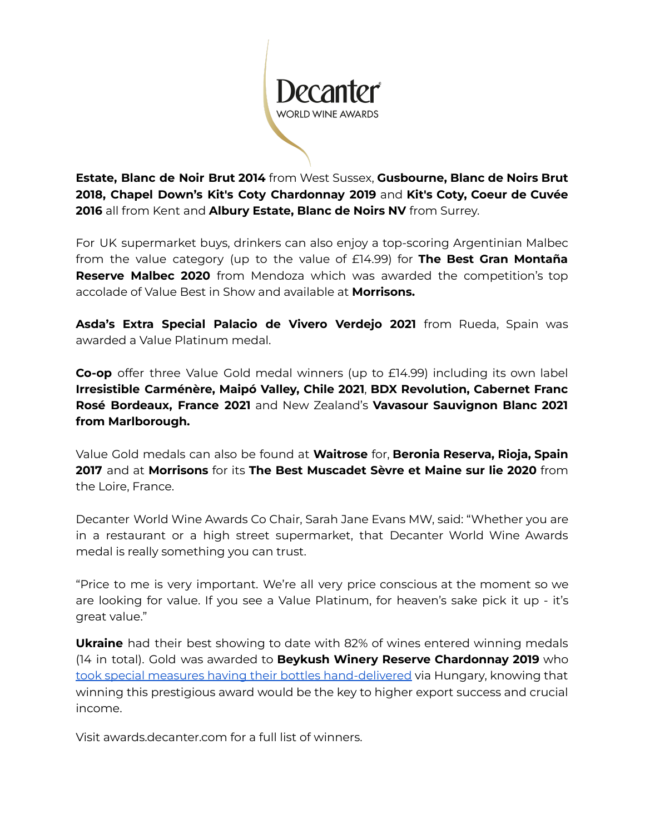

**Estate, Blanc de Noir Brut 2014** from West Sussex, **Gusbourne, Blanc de Noirs Brut 2018, Chapel Down's Kit's Coty Chardonnay 2019** and **Kit's Coty, Coeur de Cuvée 2016** all from Kent and **Albury Estate, Blanc de Noirs NV** from Surrey.

For UK supermarket buys, drinkers can also enjoy a top-scoring Argentinian Malbec from the value category (up to the value of £14.99) for **The Best Gran Montaña Reserve Malbec 2020** from Mendoza which was awarded the competition's top accolade of Value Best in Show and available at **Morrisons.**

**Asda's Extra Special Palacio de Vivero Verdejo 2021** from Rueda, Spain was awarded a Value Platinum medal.

**Co-op** offer three Value Gold medal winners (up to £14.99) including its own label **Irresistible Carménère, Maipó Valley, Chile 2021**, **BDX Revolution, Cabernet Franc Rosé Bordeaux, France 2021** and New Zealand's **Vavasour Sauvignon Blanc 2021 from Marlborough.**

Value Gold medals can also be found at **Waitrose** for, **Beronia Reserva, Rioja, Spain 2017** and at **Morrisons** for its **The Best Muscadet Sèvre et Maine sur lie 2020** from the Loire, France.

Decanter World Wine Awards Co Chair, Sarah Jane Evans MW, said: "Whether you are in a restaurant or a high street supermarket, that Decanter World Wine Awards medal is really something you can trust.

"Price to me is very important. We're all very price conscious at the moment so we are looking for value. If you see a Value Platinum, for heaven's sake pick it up - it's great value."

**Ukraine** had their best showing to date with 82% of wines entered winning medals (14 in total). Gold was awarded to **Beykush Winery Reserve Chardonnay 2019** who took special measures having their bottles [hand-delivered](https://www.decanter.com/decanter-world-wine-awards/ukraine-winerys-mission-to-deliver-bottles-to-dwwa-477464/) via Hungary, knowing that winning this prestigious award would be the key to higher export success and crucial income.

Visit awards.decanter.com for a full list of winners.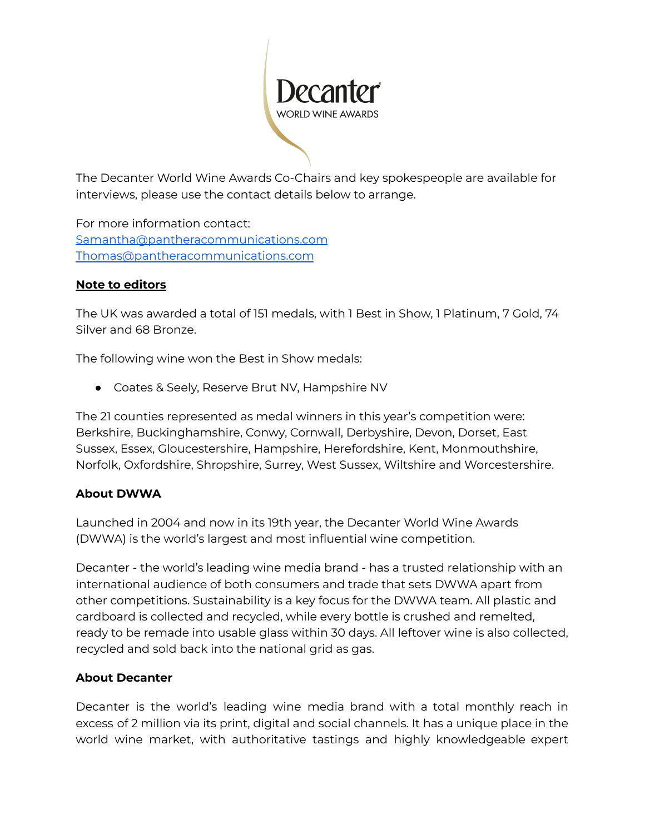

The Decanter World Wine Awards Co-Chairs and key spokespeople are available for interviews, please use the contact details below to arrange.

For more information contact: [Samantha@pantheracommunications.com](mailto:Samantha@pantheracommunications.com) [Thomas@pantheracommunications.com](mailto:Thomas@pantheracommunications.com)

## **Note to editors**

The UK was awarded a total of 151 medals, with 1 Best in Show, 1 Platinum, 7 Gold, 74 Silver and 68 Bronze.

The following wine won the Best in Show medals:

● Coates & Seely, Reserve Brut NV, Hampshire NV

The 21 counties represented as medal winners in this year's competition were: Berkshire, Buckinghamshire, Conwy, Cornwall, Derbyshire, Devon, Dorset, East Sussex, Essex, Gloucestershire, Hampshire, Herefordshire, Kent, Monmouthshire, Norfolk, Oxfordshire, Shropshire, Surrey, West Sussex, Wiltshire and Worcestershire.

## **About DWWA**

Launched in 2004 and now in its 19th year, the Decanter World Wine Awards (DWWA) is the world's largest and most influential wine competition.

Decanter - the world's leading wine media brand - has a trusted relationship with an international audience of both consumers and trade that sets DWWA apart from other competitions. Sustainability is a key focus for the DWWA team. All plastic and cardboard is collected and recycled, while every bottle is crushed and remelted, ready to be remade into usable glass within 30 days. All leftover wine is also collected, recycled and sold back into the national grid as gas.

## **About Decanter**

Decanter is the world's leading wine media brand with a total monthly reach in excess of 2 million via its print, digital and social channels. It has a unique place in the world wine market, with authoritative tastings and highly knowledgeable expert